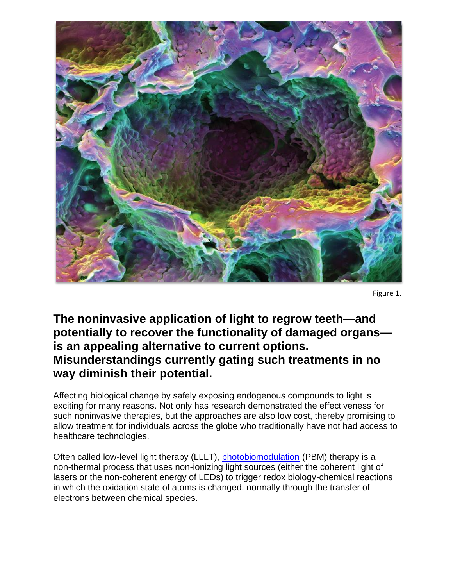

Figure 1.

## **The noninvasive application of light to regrow teeth—and potentially to recover the functionality of damaged organs is an appealing alternative to current options. Misunderstandings currently gating such treatments in no way diminish their potential.**

Affecting biological change by safely exposing endogenous compounds to light is exciting for many reasons. Not only has research demonstrated the effectiveness for such noninvasive therapies, but the approaches are also low cost, thereby promising to allow treatment for individuals across the globe who traditionally have not had access to healthcare technologies.

Often called low-level light therapy (LLLT), [photobiomodulation](http://www.bioopticsworld.com/articles/print/volume-9/issue-5/medical-lasers-neuroscience-photobiomodulation-and-the-brain-traumatic-brain-injury-and-beyond.html) (PBM) therapy is a non-thermal process that uses non-ionizing light sources (either the coherent light of lasers or the non-coherent energy of LEDs) to trigger redox biology-chemical reactions in which the oxidation state of atoms is changed, normally through the transfer of electrons between chemical species.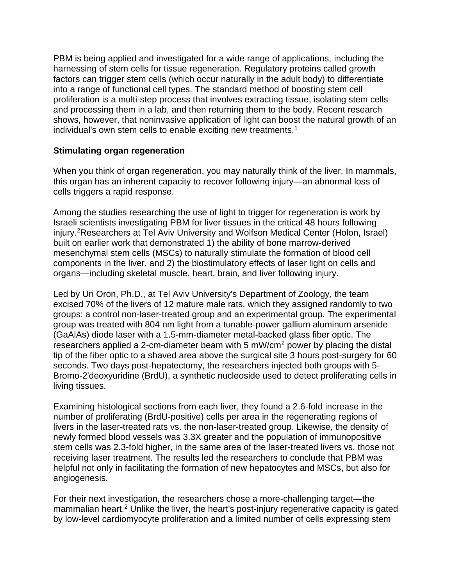PBM is being applied and investigated for a wide range of applications, including the harnessing of stem cells for tissue regeneration. Regulatory proteins called growth factors can trigger stem cells (which occur naturally in the adult body) to differentiate into a range of functional cell types. The standard method of boosting stem cell proliferation is a multi-step process that involves extracting tissue, isolating stem cells and processing them in a lab, and then returning them to the body. Recent research shows, however, that noninvasive application of light can boost the natural growth of an individual's own stem cells to enable exciting new treatments.<sup>1</sup>

## **Stimulating organ regeneration**

When you think of organ regeneration, you may naturally think of the liver. In mammals, this organ has an inherent capacity to recover following injury—an abnormal loss of cells triggers a rapid response.

Among the studies researching the use of light to trigger for regeneration is work by Israeli scientists investigating PBM for liver tissues in the critical 48 hours following injury.<sup>2</sup>Researchers at Tel Aviv University and Wolfson Medical Center (Holon, Israel) built on earlier work that demonstrated 1) the ability of bone marrow-derived mesenchymal stem cells (MSCs) to naturally stimulate the formation of blood cell components in the liver, and 2) the biostimulatory effects of laser light on cells and organs—including skeletal muscle, heart, brain, and liver following injury.

Led by Uri Oron, Ph.D., at Tel Aviv University's Department of Zoology, the team excised 70% of the livers of 12 mature male rats, which they assigned randomly to two groups: a control non-laser-treated group and an experimental group. The experimental group was treated with 804 nm light from a tunable-power gallium aluminum arsenide (GaAlAs) diode laser with a 1.5-mm-diameter metal-backed glass fiber optic. The researchers applied a 2-cm-diameter beam with 5 mW/cm<sup>2</sup> power by placing the distal tip of the fiber optic to a shaved area above the surgical site 3 hours post-surgery for 60 seconds. Two days post-hepatectomy, the researchers injected both groups with 5- Bromo-2'deoxyuridine (BrdU), a synthetic nucleoside used to detect proliferating cells in living tissues.

Examining histological sections from each liver, they found a 2.6-fold increase in the number of proliferating (BrdU-positive) cells per area in the regenerating regions of livers in the laser-treated rats vs. the non-laser-treated group. Likewise, the density of newly formed blood vessels was 3.3X greater and the population of immunopositive stem cells was 2.3-fold higher, in the same area of the laser-treated livers vs. those not receiving laser treatment. The results led the researchers to conclude that PBM was helpful not only in facilitating the formation of new hepatocytes and MSCs, but also for angiogenesis.

For their next investigation, the researchers chose a more-challenging target—the mammalian heart.<sup>2</sup> Unlike the liver, the heart's post-injury regenerative capacity is gated by low-level cardiomyocyte proliferation and a limited number of cells expressing stem